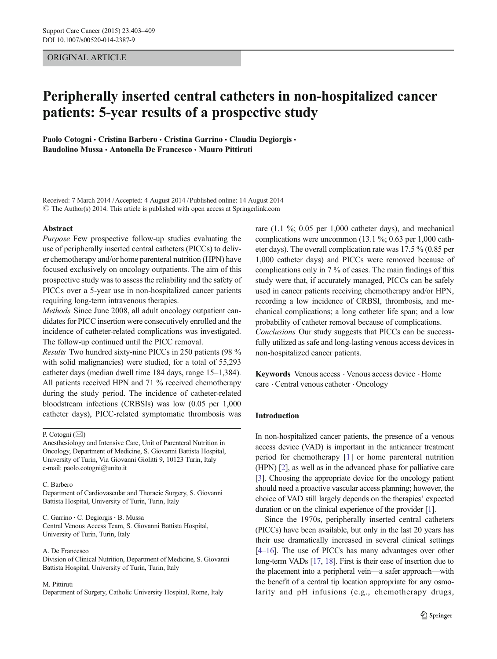# ORIGINAL ARTICLE

# Peripherally inserted central catheters in non-hospitalized cancer patients: 5-year results of a prospective study

Paolo Cotogni · Cristina Barbero · Cristina Garrino · Claudia Degiorgis · Baudolino Mussa · Antonella De Francesco · Mauro Pittiruti

Received: 7 March 2014 /Accepted: 4 August 2014 /Published online: 14 August 2014  $\odot$  The Author(s) 2014. This article is published with open access at Springerlink.com

### Abstract

Purpose Few prospective follow-up studies evaluating the use of peripherally inserted central catheters (PICCs) to deliver chemotherapy and/or home parenteral nutrition (HPN) have focused exclusively on oncology outpatients. The aim of this prospective study was to assess the reliability and the safety of PICCs over a 5-year use in non-hospitalized cancer patients requiring long-term intravenous therapies.

Methods Since June 2008, all adult oncology outpatient candidates for PICC insertion were consecutively enrolled and the incidence of catheter-related complications was investigated. The follow-up continued until the PICC removal.

Results Two hundred sixty-nine PICCs in 250 patients (98 % with solid malignancies) were studied, for a total of 55,293 catheter days (median dwell time 184 days, range 15–1,384). All patients received HPN and 71 % received chemotherapy during the study period. The incidence of catheter-related bloodstream infections (CRBSIs) was low (0.05 per 1,000 catheter days), PICC-related symptomatic thrombosis was

## P. Cotogni (⊠)

Anesthesiology and Intensive Care, Unit of Parenteral Nutrition in Oncology, Department of Medicine, S. Giovanni Battista Hospital, University of Turin, Via Giovanni Giolitti 9, 10123 Turin, Italy e-mail: paolo.cotogni@unito.it

#### C. Barbero

Department of Cardiovascular and Thoracic Surgery, S. Giovanni Battista Hospital, University of Turin, Turin, Italy

C. Garrino · C. Degiorgis · B. Mussa Central Venous Access Team, S. Giovanni Battista Hospital, University of Turin, Turin, Italy

#### A. De Francesco

Division of Clinical Nutrition, Department of Medicine, S. Giovanni Battista Hospital, University of Turin, Turin, Italy

#### M. Pittiruti

Department of Surgery, Catholic University Hospital, Rome, Italy

rare (1.1 %; 0.05 per 1,000 catheter days), and mechanical complications were uncommon (13.1 %; 0.63 per 1,000 catheter days). The overall complication rate was 17.5 % (0.85 per 1,000 catheter days) and PICCs were removed because of complications only in 7 % of cases. The main findings of this study were that, if accurately managed, PICCs can be safely used in cancer patients receiving chemotherapy and/or HPN, recording a low incidence of CRBSI, thrombosis, and mechanical complications; a long catheter life span; and a low probability of catheter removal because of complications. Conclusions Our study suggests that PICCs can be successfully utilized as safe and long-lasting venous access devices in non-hospitalized cancer patients.

Keywords Venous access . Venous access device . Home care . Central venous catheter . Oncology

# Introduction

In non-hospitalized cancer patients, the presence of a venous access device (VAD) is important in the anticancer treatment period for chemotherapy [\[1](#page-5-0)] or home parenteral nutrition (HPN) [\[2](#page-5-0)], as well as in the advanced phase for palliative care [\[3\]](#page-5-0). Choosing the appropriate device for the oncology patient should need a proactive vascular access planning; however, the choice of VAD still largely depends on the therapies' expected duration or on the clinical experience of the provider [[1\]](#page-5-0).

Since the 1970s, peripherally inserted central catheters (PICCs) have been available, but only in the last 20 years has their use dramatically increased in several clinical settings [\[4](#page-5-0)–[16](#page-6-0)]. The use of PICCs has many advantages over other long-term VADs [\[17,](#page-6-0) [18](#page-6-0)]. First is their ease of insertion due to the placement into a peripheral vein—a safer approach—with the benefit of a central tip location appropriate for any osmolarity and pH infusions (e.g., chemotherapy drugs,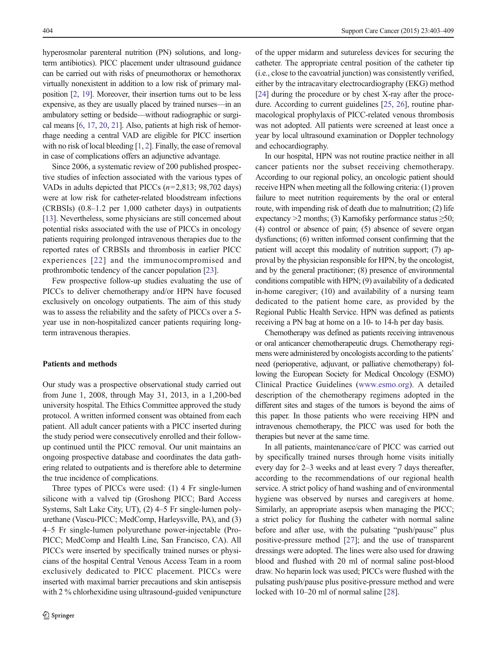hyperosmolar parenteral nutrition (PN) solutions, and longterm antibiotics). PICC placement under ultrasound guidance can be carried out with risks of pneumothorax or hemothorax virtually nonexistent in addition to a low risk of primary malposition [[2](#page-5-0), [19\]](#page-6-0). Moreover, their insertion turns out to be less expensive, as they are usually placed by trained nurses—in an ambulatory setting or bedside—without radiographic or surgical means [[6](#page-5-0), [17,](#page-6-0) [20](#page-6-0), [21](#page-6-0)]. Also, patients at high risk of hemorrhage needing a central VAD are eligible for PICC insertion with no risk of local bleeding [\[1,](#page-5-0) [2\]](#page-5-0). Finally, the ease of removal in case of complications offers an adjunctive advantage.

Since 2006, a systematic review of 200 published prospective studies of infection associated with the various types of VADs in adults depicted that PICCs  $(n=2,813; 98,702 \text{ days})$ were at low risk for catheter-related bloodstream infections (CRBSIs) (0.8–1.2 per 1,000 catheter days) in outpatients [\[13\]](#page-6-0). Nevertheless, some physicians are still concerned about potential risks associated with the use of PICCs in oncology patients requiring prolonged intravenous therapies due to the reported rates of CRBSIs and thrombosis in earlier PICC experiences [[22\]](#page-6-0) and the immunocompromised and prothrombotic tendency of the cancer population [[23\]](#page-6-0).

Few prospective follow-up studies evaluating the use of PICCs to deliver chemotherapy and/or HPN have focused exclusively on oncology outpatients. The aim of this study was to assess the reliability and the safety of PICCs over a 5 year use in non-hospitalized cancer patients requiring longterm intravenous therapies.

# Patients and methods

Our study was a prospective observational study carried out from June 1, 2008, through May 31, 2013, in a 1,200-bed university hospital. The Ethics Committee approved the study protocol. A written informed consent was obtained from each patient. All adult cancer patients with a PICC inserted during the study period were consecutively enrolled and their followup continued until the PICC removal. Our unit maintains an ongoing prospective database and coordinates the data gathering related to outpatients and is therefore able to determine the true incidence of complications.

Three types of PICCs were used: (1) 4 Fr single-lumen silicone with a valved tip (Groshong PICC; Bard Access Systems, Salt Lake City, UT), (2) 4–5 Fr single-lumen polyurethane (Vascu-PICC; MedComp, Harleysville, PA), and (3) 4–5 Fr single-lumen polyurethane power-injectable (Pro-PICC; MedComp and Health Line, San Francisco, CA). All PICCs were inserted by specifically trained nurses or physicians of the hospital Central Venous Access Team in a room exclusively dedicated to PICC placement. PICCs were inserted with maximal barrier precautions and skin antisepsis with 2 % chlorhexidine using ultrasound-guided venipuncture of the upper midarm and sutureless devices for securing the catheter. The appropriate central position of the catheter tip (i.e., close to the cavoatrial junction) was consistently verified, either by the intracavitary electrocardiography (EKG) method [\[24](#page-6-0)] during the procedure or by chest X-ray after the procedure. According to current guidelines [[25,](#page-6-0) [26\]](#page-6-0), routine pharmacological prophylaxis of PICC-related venous thrombosis was not adopted. All patients were screened at least once a year by local ultrasound examination or Doppler technology and echocardiography.

In our hospital, HPN was not routine practice neither in all cancer patients nor the subset receiving chemotherapy. According to our regional policy, an oncologic patient should receive HPN when meeting all the following criteria: (1) proven failure to meet nutrition requirements by the oral or enteral route, with impending risk of death due to malnutrition; (2) life expectancy  $>2$  months; (3) Karnofsky performance status  $\geq 50$ ; (4) control or absence of pain; (5) absence of severe organ dysfunctions; (6) written informed consent confirming that the patient will accept this modality of nutrition support; (7) approval by the physician responsible for HPN, by the oncologist, and by the general practitioner; (8) presence of environmental conditions compatible with HPN; (9) availability of a dedicated in-home caregiver; (10) and availability of a nursing team dedicated to the patient home care, as provided by the Regional Public Health Service. HPN was defined as patients receiving a PN bag at home on a 10- to 14-h per day basis.

Chemotherapy was defined as patients receiving intravenous or oral anticancer chemotherapeutic drugs. Chemotherapy regimens were administered by oncologists according to the patients' need (perioperative, adjuvant, or palliative chemotherapy) following the European Society for Medical Oncology (ESMO) Clinical Practice Guidelines ([www.esmo.org\)](http://www.esmo.org/). A detailed description of the chemotherapy regimens adopted in the different sites and stages of the tumors is beyond the aims of this paper. In those patients who were receiving HPN and intravenous chemotherapy, the PICC was used for both the therapies but never at the same time.

In all patients, maintenance/care of PICC was carried out by specifically trained nurses through home visits initially every day for 2–3 weeks and at least every 7 days thereafter, according to the recommendations of our regional health service. A strict policy of hand washing and of environmental hygiene was observed by nurses and caregivers at home. Similarly, an appropriate asepsis when managing the PICC; a strict policy for flushing the catheter with normal saline before and after use, with the pulsating "push/pause" plus positive-pressure method [\[27](#page-6-0)]; and the use of transparent dressings were adopted. The lines were also used for drawing blood and flushed with 20 ml of normal saline post-blood draw. No heparin lock was used; PICCs were flushed with the pulsating push/pause plus positive-pressure method and were locked with 10–20 ml of normal saline [[28](#page-6-0)].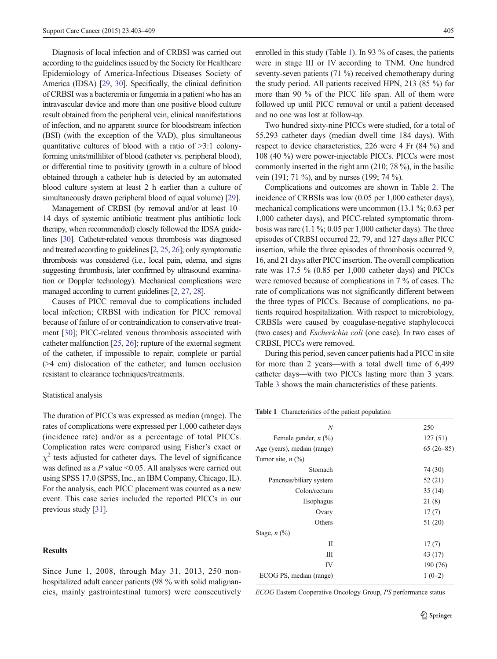Diagnosis of local infection and of CRBSI was carried out according to the guidelines issued by the Society for Healthcare Epidemiology of America-Infectious Diseases Society of America (IDSA) [\[29,](#page-6-0) [30](#page-6-0)]. Specifically, the clinical definition of CRBSI was a bacteremia or fungemia in a patient who has an intravascular device and more than one positive blood culture result obtained from the peripheral vein, clinical manifestations of infection, and no apparent source for bloodstream infection (BSI) (with the exception of the VAD), plus simultaneous quantitative cultures of blood with a ratio of >3:1 colonyforming units/milliliter of blood (catheter vs. peripheral blood), or differential time to positivity (growth in a culture of blood obtained through a catheter hub is detected by an automated blood culture system at least 2 h earlier than a culture of simultaneously drawn peripheral blood of equal volume) [\[29\]](#page-6-0).

Management of CRBSI (by removal and/or at least 10– 14 days of systemic antibiotic treatment plus antibiotic lock therapy, when recommended) closely followed the IDSA guidelines [\[30\]](#page-6-0). Catheter-related venous thrombosis was diagnosed and treated according to guidelines [\[2,](#page-5-0) [25,](#page-6-0) [26](#page-6-0)]; only symptomatic thrombosis was considered (i.e., local pain, edema, and signs suggesting thrombosis, later confirmed by ultrasound examination or Doppler technology). Mechanical complications were managed according to current guidelines [\[2,](#page-5-0) [27,](#page-6-0) [28](#page-6-0)].

Causes of PICC removal due to complications included local infection; CRBSI with indication for PICC removal because of failure of or contraindication to conservative treatment [\[30\]](#page-6-0); PICC-related venous thrombosis associated with catheter malfunction [\[25,](#page-6-0) [26](#page-6-0)]; rupture of the external segment of the catheter, if impossible to repair; complete or partial (>4 cm) dislocation of the catheter; and lumen occlusion resistant to clearance techniques/treatments.

### Statistical analysis

The duration of PICCs was expressed as median (range). The rates of complications were expressed per 1,000 catheter days (incidence rate) and/or as a percentage of total PICCs. Complication rates were compared using Fisher's exact or  $\chi^2$  tests adjusted for catheter days. The level of significance was defined as a P value <0.05. All analyses were carried out using SPSS 17.0 (SPSS, Inc., an IBM Company, Chicago, IL). For the analysis, each PICC placement was counted as a new event. This case series included the reported PICCs in our previous study [[31\]](#page-6-0).

# **Results**

Since June 1, 2008, through May 31, 2013, 250 nonhospitalized adult cancer patients (98 % with solid malignancies, mainly gastrointestinal tumors) were consecutively enrolled in this study (Table 1). In 93 % of cases, the patients were in stage III or IV according to TNM. One hundred seventy-seven patients (71 %) received chemotherapy during the study period. All patients received HPN, 213 (85 %) for more than 90 % of the PICC life span. All of them were followed up until PICC removal or until a patient deceased and no one was lost at follow-up.

Two hundred sixty-nine PICCs were studied, for a total of 55,293 catheter days (median dwell time 184 days). With respect to device characteristics, 226 were 4 Fr (84 %) and 108 (40 %) were power-injectable PICCs. PICCs were most commonly inserted in the right arm (210; 78 %), in the basilic vein (191; 71 %), and by nurses (199; 74 %).

Complications and outcomes are shown in Table [2.](#page-3-0) The incidence of CRBSIs was low (0.05 per 1,000 catheter days), mechanical complications were uncommon (13.1 %; 0.63 per 1,000 catheter days), and PICC-related symptomatic thrombosis was rare (1.1 %; 0.05 per 1,000 catheter days). The three episodes of CRBSI occurred 22, 79, and 127 days after PICC insertion, while the three episodes of thrombosis occurred 9, 16, and 21 days after PICC insertion. The overall complication rate was 17.5 % (0.85 per 1,000 catheter days) and PICCs were removed because of complications in 7 % of cases. The rate of complications was not significantly different between the three types of PICCs. Because of complications, no patients required hospitalization. With respect to microbiology, CRBSIs were caused by coagulase-negative staphylococci (two cases) and Escherichia coli (one case). In two cases of CRBSI, PICCs were removed.

During this period, seven cancer patients had a PICC in site for more than 2 years—with a total dwell time of 6,499 catheter days—with two PICCs lasting more than 3 years. Table [3](#page-4-0) shows the main characteristics of these patients.

Table 1 Characteristics of the patient population

| N                                     | 250         |
|---------------------------------------|-------------|
| Female gender, $n$ (%)                | 127(51)     |
| Age (years), median (range)           | $65(26-85)$ |
| Tumor site, $n$ $(\%)$                |             |
| Stomach                               | 74 (30)     |
| Pancreas/biliary system               | 52 (21)     |
| Colon/rectum                          | 35(14)      |
| Esophagus                             | 21(8)       |
| Ovary                                 | 17(7)       |
| Others                                | 51 (20)     |
| Stage, $n$ $\left(\frac{9}{0}\right)$ |             |
| Н                                     | 17(7)       |
| Ш                                     | 43 (17)     |
| IV                                    | 190 (76)    |
| ECOG PS, median (range)               | $1(0-2)$    |
|                                       |             |

ECOG Eastern Cooperative Oncology Group, PS performance status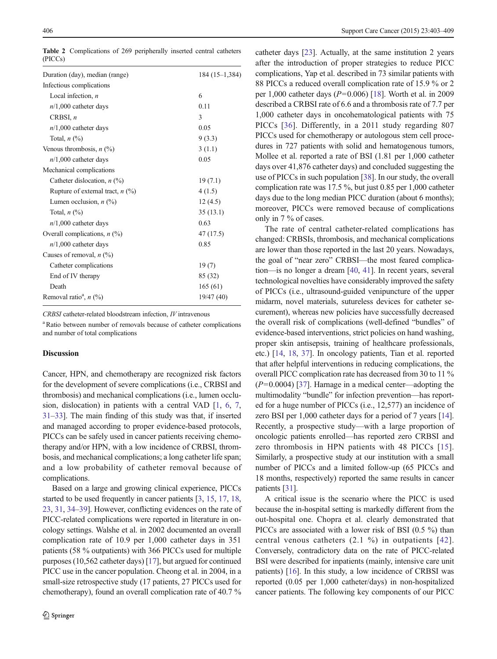<span id="page-3-0"></span>Table 2 Complications of 269 peripherally inserted central catheters (PICCs)

| Duration (day), median (range)       | 184 (15–1,384) |
|--------------------------------------|----------------|
| Infectious complications             |                |
| Local infection, $n$                 | 6              |
| $n/1,000$ catheter days              | 0.11           |
| CRBSI, $n$                           | 3              |
| $n/1,000$ catheter days              | 0.05           |
| Total, $n$ $(\%)$                    | 9(3.3)         |
| Venous thrombosis, $n$ (%)           | 3(1.1)         |
| $n/1,000$ catheter days              | 0.05           |
| Mechanical complications             |                |
| Catheter dislocation, $n$ (%)        | 19(7.1)        |
| Rupture of external tract, $n$ (%)   | 4(1.5)         |
| Lumen occlusion, $n$ (%)             | 12(4.5)        |
| Total, $n \left(\frac{0}{0}\right)$  | 35(13.1)       |
| $n/1,000$ catheter days              | 0.63           |
| Overall complications, $n$ (%)       | 47 (17.5)      |
| $n/1,000$ catheter days              | 0.85           |
| Causes of removal, $n$ (%)           |                |
| Catheter complications               | 19(7)          |
| End of IV therapy                    | 85 (32)        |
| Death                                | 165(61)        |
| Removal ratio <sup>a</sup> , $n$ (%) | 19/47 (40)     |
|                                      |                |

CRBSI catheter-related bloodstream infection, IV intravenous

<sup>a</sup> Ratio between number of removals because of catheter complications and number of total complications

# Discussion

Cancer, HPN, and chemotherapy are recognized risk factors for the development of severe complications (i.e., CRBSI and thrombosis) and mechanical complications (i.e., lumen occlusion, dislocation) in patients with a central VAD [[1](#page-5-0), [6](#page-5-0), [7,](#page-5-0) [31](#page-6-0)–[33](#page-6-0)]. The main finding of this study was that, if inserted and managed according to proper evidence-based protocols, PICCs can be safely used in cancer patients receiving chemotherapy and/or HPN, with a low incidence of CRBSI, thrombosis, and mechanical complications; a long catheter life span; and a low probability of catheter removal because of complications.

Based on a large and growing clinical experience, PICCs started to be used frequently in cancer patients [\[3](#page-5-0), [15,](#page-6-0) [17,](#page-6-0) [18,](#page-6-0) [23,](#page-6-0) [31](#page-6-0), [34](#page-6-0)–[39\]](#page-6-0). However, conflicting evidences on the rate of PICC-related complications were reported in literature in oncology settings. Walshe et al. in 2002 documented an overall complication rate of 10.9 per 1,000 catheter days in 351 patients (58 % outpatients) with 366 PICCs used for multiple purposes (10,562 catheter days) [[17\]](#page-6-0), but argued for continued PICC use in the cancer population. Cheong et al. in 2004, in a small-size retrospective study (17 patients, 27 PICCs used for chemotherapy), found an overall complication rate of 40.7 %

catheter days [[23\]](#page-6-0). Actually, at the same institution 2 years after the introduction of proper strategies to reduce PICC complications, Yap et al. described in 73 similar patients with 88 PICCs a reduced overall complication rate of 15.9 % or 2 per 1,000 catheter days ( $P=0.006$ ) [\[18](#page-6-0)]. Worth et al. in 2009 described a CRBSI rate of 6.6 and a thrombosis rate of 7.7 per 1,000 catheter days in oncohematological patients with 75 PICCs [[36\]](#page-6-0). Differently, in a 2011 study regarding 807 PICCs used for chemotherapy or autologous stem cell procedures in 727 patients with solid and hematogenous tumors, Mollee et al. reported a rate of BSI (1.81 per 1,000 catheter days over 41,876 catheter days) and concluded suggesting the use of PICCs in such population [[38](#page-6-0)]. In our study, the overall complication rate was 17.5 %, but just 0.85 per 1,000 catheter days due to the long median PICC duration (about 6 months); moreover, PICCs were removed because of complications only in 7 % of cases.

The rate of central catheter-related complications has changed: CRBSIs, thrombosis, and mechanical complications are lower than those reported in the last 20 years. Nowadays, the goal of "near zero" CRBSI—the most feared complication—is no longer a dream [\[40](#page-6-0), [41\]](#page-6-0). In recent years, several technological novelties have considerably improved the safety of PICCs (i.e., ultrasound-guided venipuncture of the upper midarm, novel materials, sutureless devices for catheter securement), whereas new policies have successfully decreased the overall risk of complications (well-defined "bundles" of evidence-based interventions, strict policies on hand washing, proper skin antisepsis, training of healthcare professionals, etc.) [[14](#page-6-0), [18](#page-6-0), [37](#page-6-0)]. In oncology patients, Tian et al. reported that after helpful interventions in reducing complications, the overall PICC complication rate has decreased from 30 to 11 %  $(P=0.0004)$  [\[37\]](#page-6-0). Harnage in a medical center—adopting the multimodality "bundle" for infection prevention—has reported for a huge number of PICCs (i.e., 12,577) an incidence of zero BSI per 1,000 catheter days for a period of 7 years [[14\]](#page-6-0). Recently, a prospective study—with a large proportion of oncologic patients enrolled—has reported zero CRBSI and zero thrombosis in HPN patients with 48 PICCs [[15](#page-6-0)]. Similarly, a prospective study at our institution with a small number of PICCs and a limited follow-up (65 PICCs and 18 months, respectively) reported the same results in cancer patients [[31\]](#page-6-0).

A critical issue is the scenario where the PICC is used because the in-hospital setting is markedly different from the out-hospital one. Chopra et al. clearly demonstrated that PICCs are associated with a lower risk of BSI (0.5 %) than central venous catheters (2.1 %) in outpatients [[42](#page-6-0)]. Conversely, contradictory data on the rate of PICC-related BSI were described for inpatients (mainly, intensive care unit patients) [[16\]](#page-6-0). In this study, a low incidence of CRBSI was reported (0.05 per 1,000 catheter/days) in non-hospitalized cancer patients. The following key components of our PICC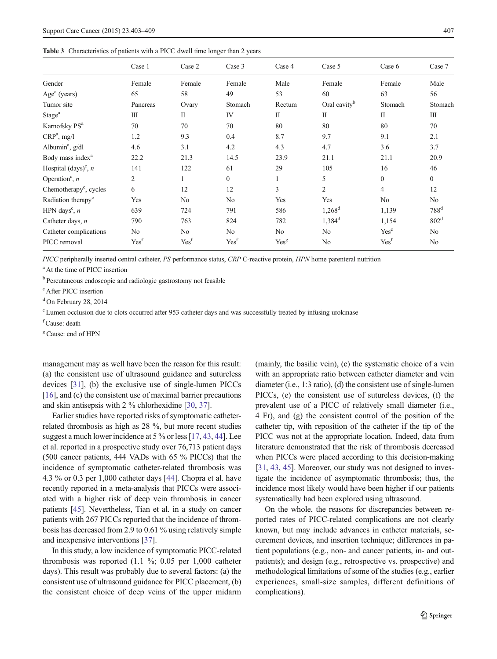#### <span id="page-4-0"></span>Table 3 Characteristics of patients with a PICC dwell time longer than 2 years

|                                       | Case 1             | Case 2           | Case 3           | Case 4         | Case 5                   | Case 6           | Case 7                           |
|---------------------------------------|--------------------|------------------|------------------|----------------|--------------------------|------------------|----------------------------------|
| Gender                                | Female             | Female           | Female           | Male           | Female                   | Female           | Male                             |
| $Agea$ (years)                        | 65                 | 58               | 49               | 53             | 60                       | 63               | 56                               |
| Tumor site                            | Pancreas           | Ovary            | Stomach          | Rectum         | Oral cavity <sup>b</sup> | Stomach          | Stomach                          |
| Stage <sup>a</sup>                    | $\mathop{\rm III}$ | $\mathbf{I}$     | IV               | $\mathbf{I}$   | $\mathbf{I}$             | $\mathbf{I}$     | $\mathop{\mathrm{III}}\nolimits$ |
| Karnofsky PS <sup>a</sup>             | 70                 | 70               | 70               | 80             | 80                       | 80               | 70                               |
| $CRP^a$ , mg/l                        | 1.2                | 9.3              | 0.4              | 8.7            | 9.7                      | 9.1              | 2.1                              |
| Albumin <sup>a</sup> , $g/dl$         | 4.6                | 3.1              | 4.2              | 4.3            | 4.7                      | 3.6              | 3.7                              |
| Body mass index <sup>a</sup>          | 22.2               | 21.3             | 14.5             | 23.9           | 21.1                     | 21.1             | 20.9                             |
| Hospital $\text{(days)}^c$ , <i>n</i> | 141                | 122              | 61               | 29             | 105                      | 16               | 46                               |
| Operation <sup>c</sup> , $n$          | 2                  |                  | $\boldsymbol{0}$ | 1              | 5                        | $\boldsymbol{0}$ | $\boldsymbol{0}$                 |
| Chemotherapy <sup>c</sup> , cycles    | 6                  | 12               | 12               | $\overline{3}$ | $\overline{2}$           | 4                | 12                               |
| Radiation therapy <sup>c</sup>        | Yes                | No               | No               | Yes            | Yes                      | No               | N <sub>0</sub>                   |
| HPN days <sup>c</sup> , $n$           | 639                | 724              | 791              | 586            | $1,268^d$                | 1,139            | 788 <sup>d</sup>                 |
| Catheter days, $n$                    | 790                | 763              | 824              | 782            | $1,384^d$                | 1,154            | 802 <sup>d</sup>                 |
| Catheter complications                | No                 | No               | No               | No             | No                       | Yes <sup>e</sup> | No                               |
| PICC removal                          | Yes <sup>f</sup>   | Yes <sup>f</sup> | Yes <sup>f</sup> | Yesg           | No                       | Yes <sup>f</sup> | No                               |

PICC peripherally inserted central catheter, PS performance status, CRP C-reactive protein, HPN home parenteral nutrition

a At the time of PICC insertion

<sup>b</sup> Percutaneous endoscopic and radiologic gastrostomy not feasible

c After PICC insertion

<sup>d</sup> On February 28, 2014

e Lumen occlusion due to clots occurred after 953 catheter days and was successfully treated by infusing urokinase

f Cause: death

<sup>g</sup> Cause: end of HPN

management may as well have been the reason for this result: (a) the consistent use of ultrasound guidance and sutureless devices [\[31](#page-6-0)], (b) the exclusive use of single-lumen PICCs [\[16\]](#page-6-0), and (c) the consistent use of maximal barrier precautions and skin antisepsis with 2 % chlorhexidine [[30,](#page-6-0) [37](#page-6-0)].

Earlier studies have reported risks of symptomatic catheterrelated thrombosis as high as 28 %, but more recent studies suggest a much lower incidence at 5 % or less [\[17](#page-6-0), [43](#page-6-0), [44](#page-6-0)]. Lee et al. reported in a prospective study over 76,713 patient days (500 cancer patients, 444 VADs with 65 % PICCs) that the incidence of symptomatic catheter-related thrombosis was 4.3 % or 0.3 per 1,000 catheter days [\[44](#page-6-0)]. Chopra et al. have recently reported in a meta-analysis that PICCs were associated with a higher risk of deep vein thrombosis in cancer patients [[45](#page-6-0)]. Nevertheless, Tian et al. in a study on cancer patients with 267 PICCs reported that the incidence of thrombosis has decreased from 2.9 to 0.61 % using relatively simple and inexpensive interventions [[37\]](#page-6-0).

In this study, a low incidence of symptomatic PICC-related thrombosis was reported (1.1 %; 0.05 per 1,000 catheter days). This result was probably due to several factors: (a) the consistent use of ultrasound guidance for PICC placement, (b) the consistent choice of deep veins of the upper midarm (mainly, the basilic vein), (c) the systematic choice of a vein with an appropriate ratio between catheter diameter and vein diameter (i.e., 1:3 ratio), (d) the consistent use of single-lumen PICCs, (e) the consistent use of sutureless devices, (f) the prevalent use of a PICC of relatively small diameter (i.e., 4 Fr), and (g) the consistent control of the position of the catheter tip, with reposition of the catheter if the tip of the PICC was not at the appropriate location. Indeed, data from literature demonstrated that the risk of thrombosis decreased when PICCs were placed according to this decision-making [\[31](#page-6-0), [43](#page-6-0), [45](#page-6-0)]. Moreover, our study was not designed to investigate the incidence of asymptomatic thrombosis; thus, the incidence most likely would have been higher if our patients systematically had been explored using ultrasound.

On the whole, the reasons for discrepancies between reported rates of PICC-related complications are not clearly known, but may include advances in catheter materials, securement devices, and insertion technique; differences in patient populations (e.g., non- and cancer patients, in- and outpatients); and design (e.g., retrospective vs. prospective) and methodological limitations of some of the studies (e.g., earlier experiences, small-size samples, different definitions of complications).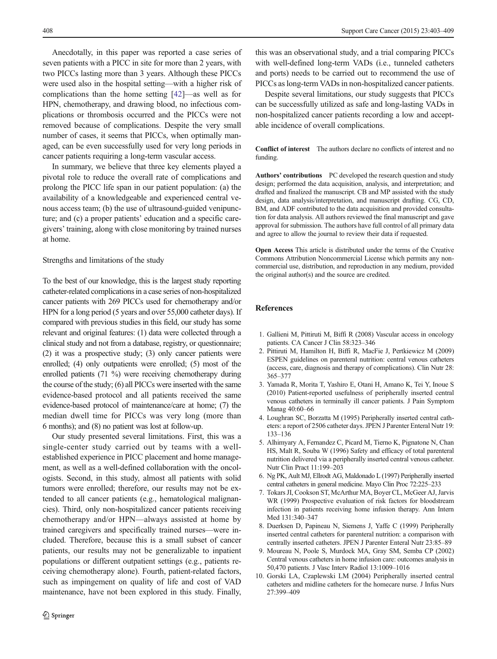<span id="page-5-0"></span>Anecdotally, in this paper was reported a case series of seven patients with a PICC in site for more than 2 years, with two PICCs lasting more than 3 years. Although these PICCs were used also in the hospital setting—with a higher risk of complications than the home setting [\[42](#page-6-0)]—as well as for HPN, chemotherapy, and drawing blood, no infectious complications or thrombosis occurred and the PICCs were not removed because of complications. Despite the very small number of cases, it seems that PICCs, when optimally managed, can be even successfully used for very long periods in cancer patients requiring a long-term vascular access.

In summary, we believe that three key elements played a pivotal role to reduce the overall rate of complications and prolong the PICC life span in our patient population: (a) the availability of a knowledgeable and experienced central venous access team; (b) the use of ultrasound-guided venipuncture; and (c) a proper patients' education and a specific caregivers' training, along with close monitoring by trained nurses at home.

#### Strengths and limitations of the study

To the best of our knowledge, this is the largest study reporting catheter-related complications in a case series of non-hospitalized cancer patients with 269 PICCs used for chemotherapy and/or HPN for a long period (5 years and over 55,000 catheter days). If compared with previous studies in this field, our study has some relevant and original features: (1) data were collected through a clinical study and not from a database, registry, or questionnaire; (2) it was a prospective study; (3) only cancer patients were enrolled; (4) only outpatients were enrolled; (5) most of the enrolled patients (71 %) were receiving chemotherapy during the course of the study; (6) all PICCs were inserted with the same evidence-based protocol and all patients received the same evidence-based protocol of maintenance/care at home; (7) the median dwell time for PICCs was very long (more than 6 months); and (8) no patient was lost at follow-up.

Our study presented several limitations. First, this was a single-center study carried out by teams with a wellestablished experience in PICC placement and home management, as well as a well-defined collaboration with the oncologists. Second, in this study, almost all patients with solid tumors were enrolled; therefore, our results may not be extended to all cancer patients (e.g., hematological malignancies). Third, only non-hospitalized cancer patients receiving chemotherapy and/or HPN—always assisted at home by trained caregivers and specifically trained nurses—were included. Therefore, because this is a small subset of cancer patients, our results may not be generalizable to inpatient populations or different outpatient settings (e.g., patients receiving chemotherapy alone). Fourth, patient-related factors, such as impingement on quality of life and cost of VAD maintenance, have not been explored in this study. Finally,

this was an observational study, and a trial comparing PICCs with well-defined long-term VADs (i.e., tunneled catheters and ports) needs to be carried out to recommend the use of PICCs as long-term VADs in non-hospitalized cancer patients.

Despite several limitations, our study suggests that PICCs can be successfully utilized as safe and long-lasting VADs in non-hospitalized cancer patients recording a low and acceptable incidence of overall complications.

Conflict of interest The authors declare no conflicts of interest and no funding.

Authors' contributions PC developed the research question and study design; performed the data acquisition, analysis, and interpretation; and drafted and finalized the manuscript. CB and MP assisted with the study design, data analysis/interpretation, and manuscript drafting. CG, CD, BM, and ADF contributed to the data acquisition and provided consultation for data analysis. All authors reviewed the final manuscript and gave approval for submission. The authors have full control of all primary data and agree to allow the journal to review their data if requested.

Open Access This article is distributed under the terms of the Creative Commons Attribution Noncommercial License which permits any noncommercial use, distribution, and reproduction in any medium, provided the original author(s) and the source are credited.

# References

- 1. Gallieni M, Pittiruti M, Biffi R (2008) Vascular access in oncology patients. CA Cancer J Clin 58:323–346
- 2. Pittiruti M, Hamilton H, Biffi R, MacFie J, Pertkiewicz M (2009) ESPEN guidelines on parenteral nutrition: central venous catheters (access, care, diagnosis and therapy of complications). Clin Nutr 28: 365–377
- 3. Yamada R, Morita T, Yashiro E, Otani H, Amano K, Tei Y, Inoue S (2010) Patient-reported usefulness of peripherally inserted central venous catheters in terminally ill cancer patients. J Pain Symptom Manag 40:60–66
- 4. Loughran SC, Borzatta M (1995) Peripherally inserted central catheters: a report of 2506 catheter days. JPEN J Parenter Enteral Nutr 19: 133–136
- 5. Alhimyary A, Fernandez C, Picard M, Tierno K, Pignatone N, Chan HS, Malt R, Souba W (1996) Safety and efficacy of total parenteral nutrition delivered via a peripherally inserted central venous catheter. Nutr Clin Pract 11:199–203
- 6. Ng PK, Ault MJ, Ellrodt AG, Maldonado L (1997) Peripherally inserted central catheters in general medicine. Mayo Clin Proc 72:225–233
- 7. Tokars JI, Cookson ST, McArthur MA, Boyer CL, McGeer AJ, Jarvis WR (1999) Prospective evaluation of risk factors for bloodstream infection in patients receiving home infusion therapy. Ann Intern Med 131:340–347
- 8. Duerksen D, Papineau N, Siemens J, Yaffe C (1999) Peripherally inserted central catheters for parenteral nutrition: a comparison with centrally inserted catheters. JPEN J Parenter Enteral Nutr 23:85–89
- 9. Moureau N, Poole S, Murdock MA, Gray SM, Semba CP (2002) Central venous catheters in home infusion care: outcomes analysis in 50,470 patients. J Vasc Interv Radiol 13:1009–1016
- 10. Gorski LA, Czaplewski LM (2004) Peripherally inserted central catheters and midline catheters for the homecare nurse. J Infus Nurs 27:399–409